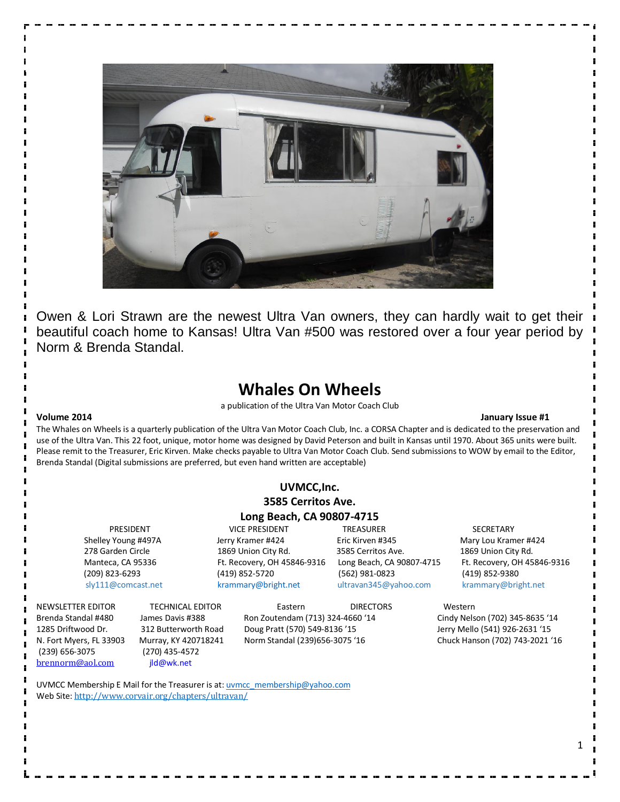

Owen & Lori Strawn are the newest Ultra Van owners, they can hardly wait to get their beautiful coach home to Kansas! Ultra Van #500 was restored over a four year period by Norm & Brenda Standal.

### **Whales On Wheels**

a publication of the Ultra Van Motor Coach Club

#### **Volume 2014 January Issue #1**

The Whales on Wheels is a quarterly publication of the Ultra Van Motor Coach Club, Inc. a CORSA Chapter and is dedicated to the preservation and use of the Ultra Van. This 22 foot, unique, motor home was designed by David Peterson and built in Kansas until 1970. About 365 units were built. Please remit to the Treasurer, Eric Kirven. Make checks payable to Ultra Van Motor Coach Club. Send submissions to WOW by email to the Editor, Brenda Standal (Digital submissions are preferred, but even hand written are acceptable)

|                     |                         | UVMCC, Inc.                      |                           |                                 |
|---------------------|-------------------------|----------------------------------|---------------------------|---------------------------------|
|                     |                         | 3585 Cerritos Ave.               |                           |                                 |
|                     |                         | Long Beach, CA 90807-4715        |                           |                                 |
| PRESIDENT           |                         | <b>VICE PRESIDENT</b>            | <b>TREASURER</b>          | <b>SECRETARY</b>                |
| Shelley Young #497A |                         | Jerry Kramer #424                | Eric Kirven #345          | Mary Lou Kramer #424            |
| 278 Garden Circle   |                         | 1869 Union City Rd.              | 3585 Cerritos Ave.        | 1869 Union City Rd.             |
| Manteca, CA 95336   |                         | Ft. Recovery, OH 45846-9316      | Long Beach, CA 90807-4715 | Ft. Recovery, OH 45846-9316     |
| (209) 823-6293      |                         | (419) 852-5720                   | (562) 981-0823            | (419) 852-9380                  |
| sly111@comcast.net  |                         | krammary@bright.net              | ultravan345@yahoo.com     | krammary@bright.net             |
| NEWSLETTER EDITOR   | <b>TECHNICAL EDITOR</b> | Eastern                          | <b>DIRECTORS</b>          | Western                         |
| Brenda Standal #480 | James Davis #388        | Ron Zoutendam (713) 324-4660 '14 |                           | Cindy Nelson (702) 345-8635 '14 |
| 1285 Driftwood Dr.  | 312 Butterworth Road    | Doug Pratt (570) 549-8136 '15    |                           | Jerry Mello (541) 926-2631 '15  |

N. Fort Myers, FL 33903 Murray, KY 420718241 Norm Standal (239)656-3075 '16 Chuck Hanson (702) 743-2021 '16 (239) 656-3075 (270) 435-4572 brennorm@aol.com jld@wk.net

UVMCC Membership E Mail for the Treasurer is at: **uvmcc\_membership@yahoo.com** Web Site: http://www.corvair.org/chapters/ultravan/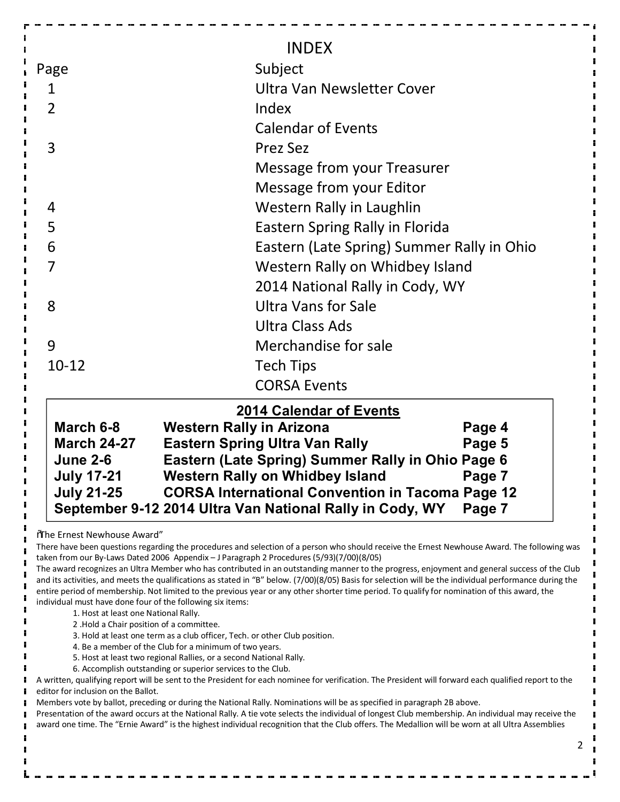| Page                                                                                         | <b>INDEX</b><br>Subject                                                                                                                                                                                                                                          |  |  |  |  |
|----------------------------------------------------------------------------------------------|------------------------------------------------------------------------------------------------------------------------------------------------------------------------------------------------------------------------------------------------------------------|--|--|--|--|
| $\mathbf{1}$                                                                                 | Ultra Van Newsletter Cover                                                                                                                                                                                                                                       |  |  |  |  |
| $\overline{2}$                                                                               | Index                                                                                                                                                                                                                                                            |  |  |  |  |
|                                                                                              | <b>Calendar of Events</b>                                                                                                                                                                                                                                        |  |  |  |  |
| 3                                                                                            | <b>Prez Sez</b>                                                                                                                                                                                                                                                  |  |  |  |  |
|                                                                                              | Message from your Treasurer                                                                                                                                                                                                                                      |  |  |  |  |
|                                                                                              | Message from your Editor                                                                                                                                                                                                                                         |  |  |  |  |
| 4                                                                                            | Western Rally in Laughlin                                                                                                                                                                                                                                        |  |  |  |  |
| 5                                                                                            | Eastern Spring Rally in Florida                                                                                                                                                                                                                                  |  |  |  |  |
| 6                                                                                            | Eastern (Late Spring) Summer Rally in Ohio                                                                                                                                                                                                                       |  |  |  |  |
| 7                                                                                            | Western Rally on Whidbey Island                                                                                                                                                                                                                                  |  |  |  |  |
|                                                                                              | 2014 National Rally in Cody, WY                                                                                                                                                                                                                                  |  |  |  |  |
| 8                                                                                            | <b>Ultra Vans for Sale</b>                                                                                                                                                                                                                                       |  |  |  |  |
|                                                                                              | Ultra Class Ads                                                                                                                                                                                                                                                  |  |  |  |  |
| 9                                                                                            | Merchandise for sale                                                                                                                                                                                                                                             |  |  |  |  |
| $10 - 12$                                                                                    | <b>Tech Tips</b>                                                                                                                                                                                                                                                 |  |  |  |  |
|                                                                                              | <b>CORSA Events</b>                                                                                                                                                                                                                                              |  |  |  |  |
|                                                                                              | <b>2014 Calendar of Events</b>                                                                                                                                                                                                                                   |  |  |  |  |
| March 6-8<br><b>March 24-27</b><br><b>June 2-6</b><br><b>July 17-21</b><br><b>July 21-25</b> | <b>Western Rally in Arizona</b><br>Page 4<br><b>Eastern Spring Ultra Van Rally</b><br>Page 5<br>Eastern (Late Spring) Summer Rally in Ohio Page 6<br><b>Western Rally on Whidbey Island</b><br>Page 7<br><b>CORSA International Convention in Tacoma Page 12</b> |  |  |  |  |
|                                                                                              | September 9-12 2014 Ultra Van National Rally in Cody, WY<br>Page 7                                                                                                                                                                                               |  |  |  |  |

"The Ernest Newhouse Award"

There have been questions regarding the procedures and selection of a person who should receive the Ernest Newhouse Award. The following was taken from our By-Laws Dated 2006 Appendix – J Paragraph 2 Procedures (5/93)(7/00)(8/05)

The award recognizes an Ultra Member who has contributed in an outstanding manner to the progress, enjoyment and general success of the Club and its activities, and meets the qualifications as stated in "B" below. (7/00)(8/05) Basis for selection will be the individual performance during the entire period of membership. Not limited to the previous year or any other shorter time period. To qualify for nomination of this award, the individual must have done four of the following six items:

- 1. Host at least one National Rally.
- 2 .Hold a Chair position of a committee.
- 3. Hold at least one term as a club officer, Tech. or other Club position.
- 4. Be a member of the Club for a minimum of two years.
- 5. Host at least two regional Rallies, or a second National Rally.
- 6. Accomplish outstanding or superior services to the Club.

A written, qualifying report will be sent to the President for each nominee for verification. The President will forward each qualified report to the editor for inclusion on the Ballot.

Members vote by ballot, preceding or during the National Rally. Nominations will be as specified in paragraph 2B above.

Presentation of the award occurs at the National Rally. A tie vote selects the individual of longest Club membership. An individual may receive the award one time. The "Ernie Award" is the highest individual recognition that the Club offers. The Medallion will be worn at all Ultra Assemblies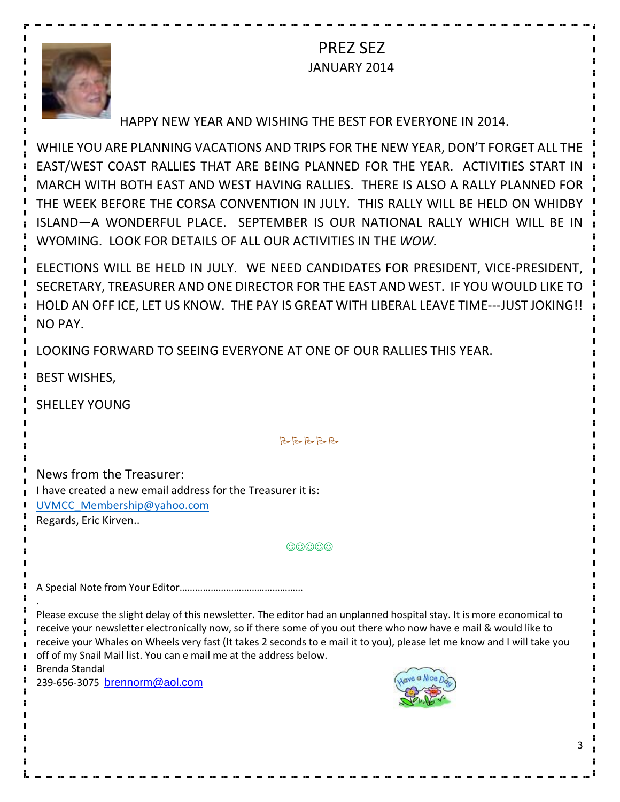PREZ SEZ JANUARY 2014



#### HAPPY NEW YEAR AND WISHING THE BEST FOR EVERYONE IN 2014.

WHILE YOU ARE PLANNING VACATIONS AND TRIPS FOR THE NEW YEAR, DON'T FORGET ALL THE EAST/WEST COAST RALLIES THAT ARE BEING PLANNED FOR THE YEAR. ACTIVITIES START IN MARCH WITH BOTH EAST AND WEST HAVING RALLIES. THERE IS ALSO A RALLY PLANNED FOR THE WEEK BEFORE THE CORSA CONVENTION IN JULY. THIS RALLY WILL BE HELD ON WHIDBY ISLAND—A WONDERFUL PLACE. SEPTEMBER IS OUR NATIONAL RALLY WHICH WILL BE IN WYOMING. LOOK FOR DETAILS OF ALL OUR ACTIVITIES IN THE *WOW.*

ELECTIONS WILL BE HELD IN JULY. WE NEED CANDIDATES FOR PRESIDENT, VICE-PRESIDENT, SECRETARY, TREASURER AND ONE DIRECTOR FOR THE EAST AND WEST. IF YOU WOULD LIKE TO HOLD AN OFF ICE, LET US KNOW. THE PAY IS GREAT WITH LIBERAL LEAVE TIME---JUST JOKING!! NO PAY.

LOOKING FORWARD TO SEEING EVERYONE AT ONE OF OUR RALLIES THIS YEAR.

BEST WISHES,

SHELLEY YOUNG

**BBBBB** 

News from the Treasurer: I have created a new email address for the Treasurer it is: UVMCC\_Membership@yahoo.com Regards, Eric Kirven..

 $\odot$  $\odot$  $\odot$  $\odot$ 

A Special Note from Your Editor…………………………………………

Please excuse the slight delay of this newsletter. The editor had an unplanned hospital stay. It is more economical to receive your newsletter electronically now, so if there some of you out there who now have e mail & would like to receive your Whales on Wheels very fast (It takes 2 seconds to e mail it to you), please let me know and I will take you off of my Snail Mail list. You can e mail me at the address below.

Brenda Standal

.

239-656-3075 brennorm@aol.com



3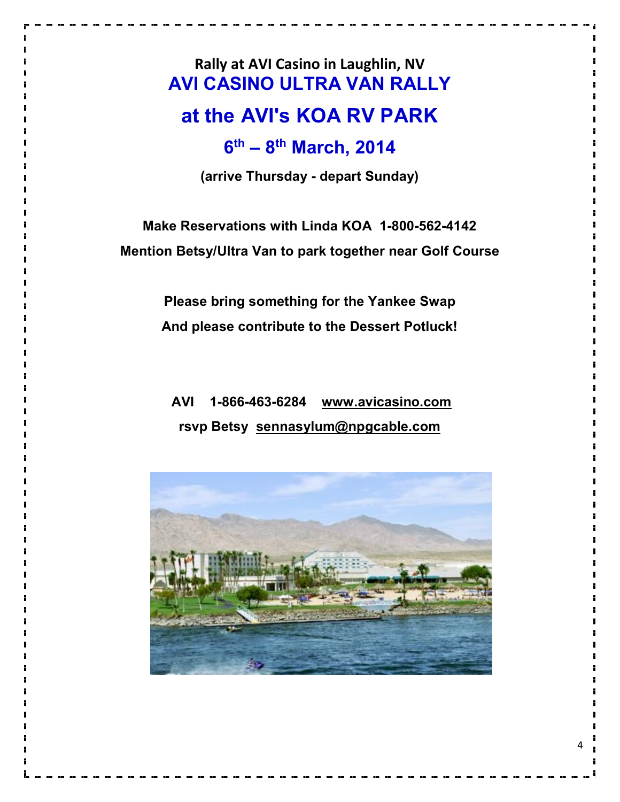**Rally at AVI Casino in Laughlin, NV AVI CASINO ULTRA VAN RALLY**

## **at the AVI's KOA RV PARK**

## **6th – 8th March, 2014**

**(arrive Thursday - depart Sunday)**

**Make Reservations with Linda KOA 1-800-562-4142 Mention Betsy/Ultra Van to park together near Golf Course**

> **Please bring something for the Yankee Swap And please contribute to the Dessert Potluck!**

**AVI 1-866-463-6284 www.avicasino.com rsvp Betsy sennasylum@npgcable.com**

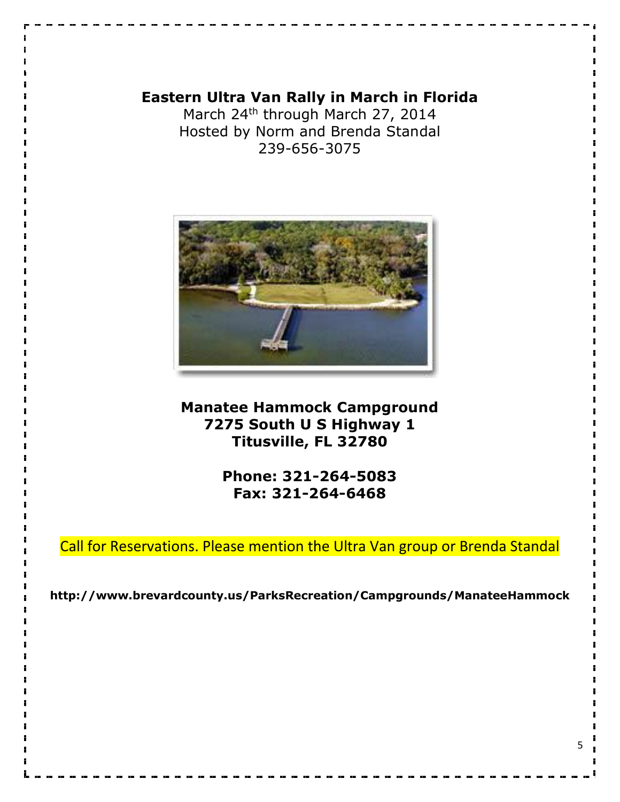#### **Eastern Ultra Van Rally in March in Florida**

March 24<sup>th</sup> through March 27, 2014 Hosted by Norm and Brenda Standal 239-656-3075



#### **Manatee Hammock Campground 7275 South U S Highway 1 Titusville, FL 32780**

**Phone: 321-264-5083 Fax: 321-264-6468**

Call for Reservations. Please mention the Ultra Van group or Brenda Standal

**http://www.brevardcounty.us/ParksRecreation/Campgrounds/ManateeHammock**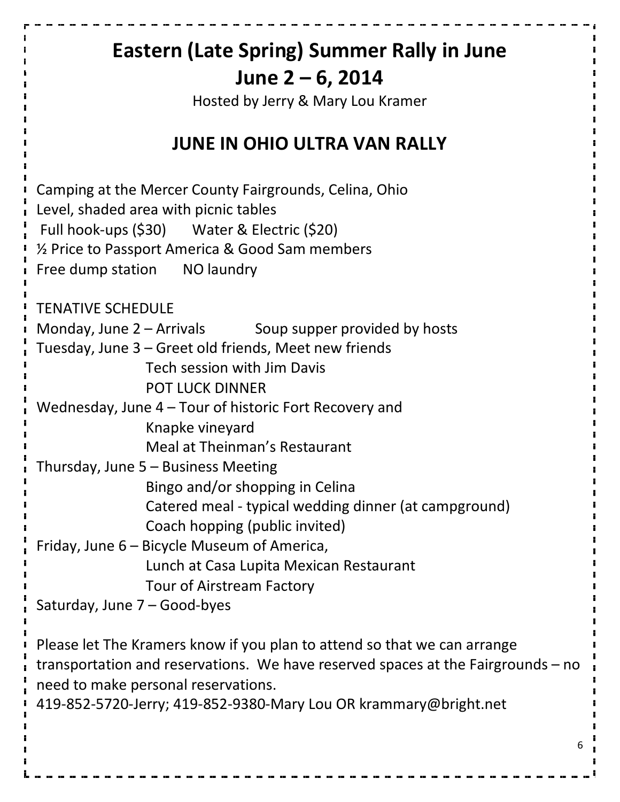# **Eastern (Late Spring) Summer Rally in June June 2 – 6, 2014**

Hosted by Jerry & Mary Lou Kramer

## **JUNE IN OHIO ULTRA VAN RALLY**

Camping at the Mercer County Fairgrounds, Celina, Ohio Level, shaded area with picnic tables Full hook-ups (\$30) Water & Electric (\$20) ½ Price to Passport America & Good Sam members Free dump station NO laundry TENATIVE SCHEDULE Monday, June  $2 -$  Arrivals Soup supper provided by hosts Tuesday, June 3 – Greet old friends, Meet new friends Tech session with Jim Davis POT LUCK DINNER Wednesday, June 4 – Tour of historic Fort Recovery and Knapke vineyard Meal at Theinman's Restaurant Thursday, June 5 – Business Meeting Bingo and/or shopping in Celina Catered meal - typical wedding dinner (at campground) Coach hopping (public invited) Friday, June 6 – Bicycle Museum of America, Lunch at Casa Lupita Mexican Restaurant Tour of Airstream Factory Saturday, June 7 – Good-byes

Please let The Kramers know if you plan to attend so that we can arrange transportation and reservations. We have reserved spaces at the Fairgrounds – no need to make personal reservations.

419-852-5720-Jerry; 419-852-9380-Mary Lou OR krammary@bright.net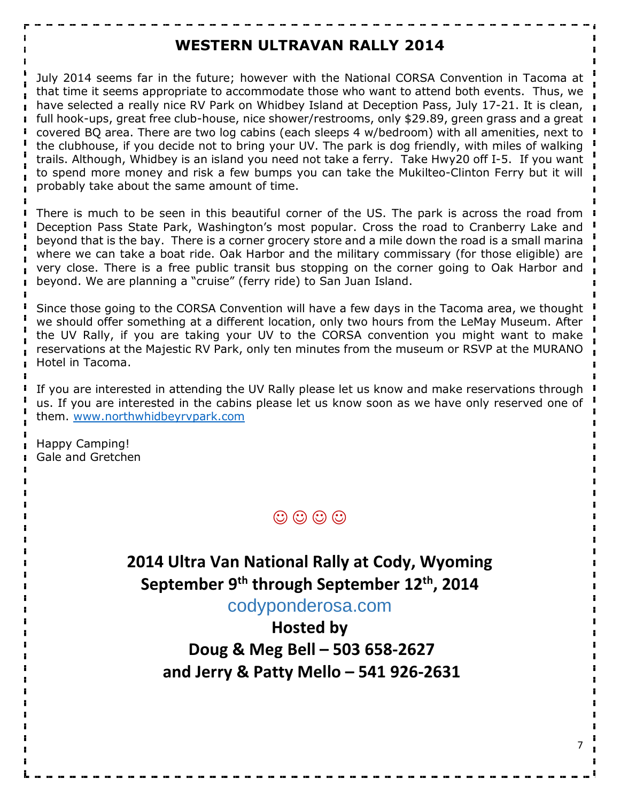#### **WESTERN ULTRAVAN RALLY 2014**

July 2014 seems far in the future; however with the National CORSA Convention in Tacoma at that time it seems appropriate to accommodate those who want to attend both events. Thus, we have selected a really nice RV Park on Whidbey Island at Deception Pass, July 17-21. It is clean, full hook-ups, great free club-house, nice shower/restrooms, only \$29.89, green grass and a great in covered BQ area. There are two log cabins (each sleeps 4 w/bedroom) with all amenities, next to the clubhouse, if you decide not to bring your UV. The park is dog friendly, with miles of walking trails. Although, Whidbey is an island you need not take a ferry. Take Hwy20 off I-5. If you want to spend more money and risk a few bumps you can take the Mukilteo-Clinton Ferry but it will probably take about the same amount of time.

There is much to be seen in this beautiful corner of the US. The park is across the road from Deception Pass State Park, Washington's most popular. Cross the road to Cranberry Lake and beyond that is the bay. There is a corner grocery store and a mile down the road is a small marina where we can take a boat ride. Oak Harbor and the military commissary (for those eligible) are very close. There is a free public transit bus stopping on the corner going to Oak Harbor and beyond. We are planning a "cruise" (ferry ride) to San Juan Island.

Since those going to the CORSA Convention will have a few days in the Tacoma area, we thought we should offer something at a different location, only two hours from the LeMay Museum. After the UV Rally, if you are taking your UV to the CORSA convention you might want to make reservations at the Majestic RV Park, only ten minutes from the museum or RSVP at the MURANO Hotel in Tacoma.

If you are interested in attending the UV Rally please let us know and make reservations through us. If you are interested in the cabins please let us know soon as we have only reserved one of them. www.northwhidbeyrvpark.com

Happy Camping! Gale and Gretchen



**2014 Ultra Van National Rally at Cody, Wyoming September 9th through September 12th, 2014**

codyponderosa.com

**Hosted by Doug & Meg Bell – 503 658-2627 and Jerry & Patty Mello – 541 926-2631**

7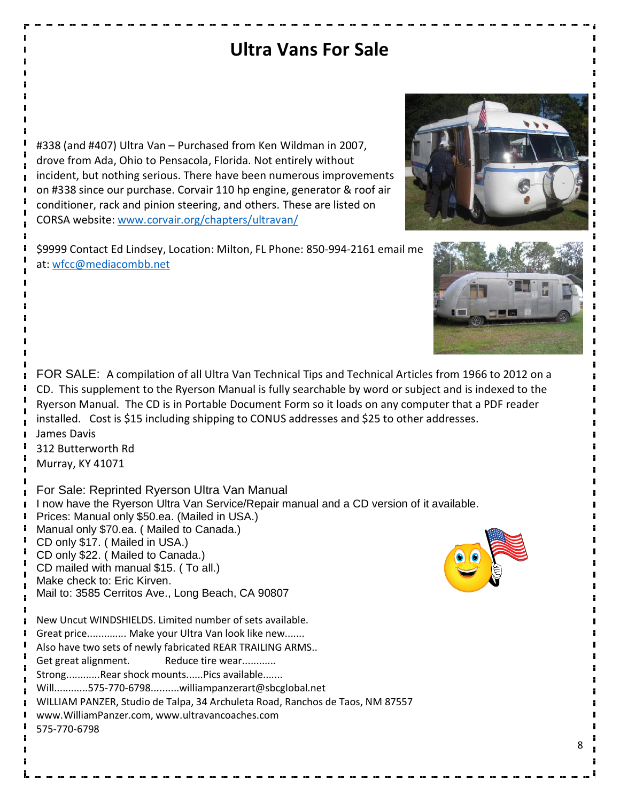## **Ultra Vans For Sale**

#338 (and #407) Ultra Van – Purchased from Ken Wildman in 2007, drove from Ada, Ohio to Pensacola, Florida. Not entirely without incident, but nothing serious. There have been numerous improvements on #338 since our purchase. Corvair 110 hp engine, generator & roof air conditioner, rack and pinion steering, and others. These are listed on CORSA website: www.corvair.org/chapters/ultravan/

\$9999 Contact Ed Lindsey, Location: Milton, FL Phone: 850-994-2161 email me at: wfcc@mediacombb.net

FOR SALE: A compilation of all Ultra Van Technical Tips and Technical Articles from 1966 to 2012 on a CD. This supplement to the Ryerson Manual is fully searchable by word or subject and is indexed to the Ryerson Manual. The CD is in Portable Document Form so it loads on any computer that a PDF reader installed. Cost is \$15 including shipping to CONUS addresses and \$25 to other addresses. James Davis

312 Butterworth Rd Murray, KY 41071

For Sale: Reprinted Ryerson Ultra Van Manual I now have the Ryerson Ultra Van Service/Repair manual and a CD version of it available. Prices: Manual only \$50.ea. (Mailed in USA.) Manual only \$70.ea. ( Mailed to Canada.) CD only \$17. ( Mailed in USA.) CD only \$22. ( Mailed to Canada.) CD mailed with manual \$15. ( To all.) Make check to: Eric Kirven. Mail to: 3585 Cerritos Ave., Long Beach, CA 90807 New Uncut WINDSHIELDS. Limited number of sets available. Great price.............. Make your Ultra Van look like new....... Also have two sets of newly fabricated REAR TRAILING ARMS.. Get great alignment. Reduce tire wear............ Strong............Rear shock mounts......Pics available....... Will............575-770-6798..........williampanzerart@sbcglobal.net WILLIAM PANZER, Studio de Talpa, 34 Archuleta Road, Ranchos de Taos, NM 87557 www.WilliamPanzer.com, www.ultravancoaches.com 575-770-6798





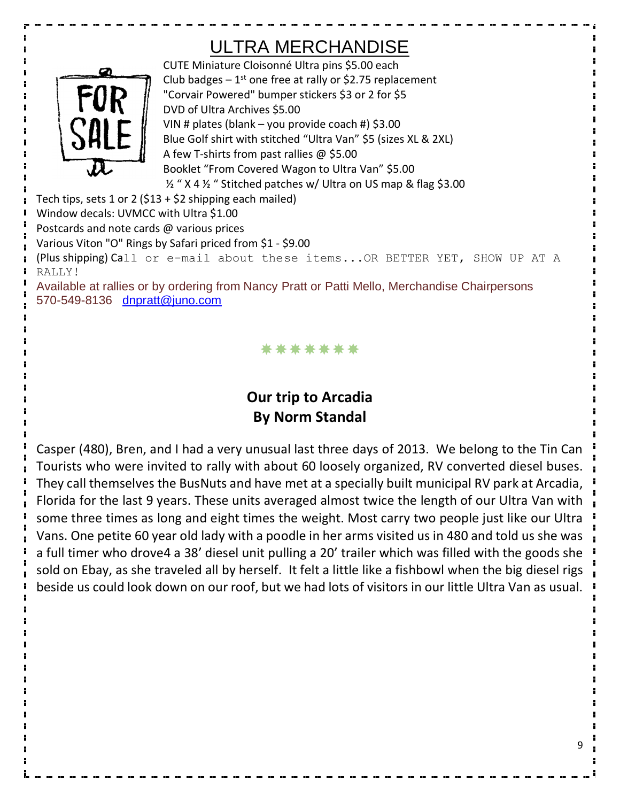## ULTRA MERCHANDISE



CUTE Miniature Cloisonné Ultra pins \$5.00 each Club badges  $-1^{st}$  one free at rally or \$2.75 replacement "Corvair Powered" bumper stickers \$3 or 2 for \$5 DVD of Ultra Archives \$5.00 VIN # plates (blank – you provide coach #) \$3.00 Blue Golf shirt with stitched "Ultra Van" \$5 (sizes XL & 2XL) A few T-shirts from past rallies @ \$5.00 Booklet "From Covered Wagon to Ultra Van" \$5.00 ½ " X 4 ½ " Stitched patches w/ Ultra on US map & flag \$3.00

Tech tips, sets 1 or 2 (\$13 + \$2 shipping each mailed)

Window decals: UVMCC with Ultra \$1.00

Postcards and note cards @ various prices

Various Viton "O" Rings by Safari priced from \$1 - \$9.00

(Plus shipping) Call or e-mail about these items...OR BETTER YET, SHOW UP AT A RALLY!

Available at rallies or by ordering from Nancy Pratt or Patti Mello, Merchandise Chairpersons 570-549-8136 dnpratt@juno.com

\*\*\*\*\*\*\*

## **Our trip to Arcadia By Norm Standal**

Casper (480), Bren, and I had a very unusual last three days of 2013. We belong to the Tin Can Tourists who were invited to rally with about 60 loosely organized, RV converted diesel buses. They call themselves the BusNuts and have met at a specially built municipal RV park at Arcadia, Florida for the last 9 years. These units averaged almost twice the length of our Ultra Van with some three times as long and eight times the weight. Most carry two people just like our Ultra Vans. One petite 60 year old lady with a poodle in her arms visited us in 480 and told us she was a full timer who drove4 a 38' diesel unit pulling a 20' trailer which was filled with the goods she sold on Ebay, as she traveled all by herself. It felt a little like a fishbowl when the big diesel rigs beside us could look down on our roof, but we had lots of visitors in our little Ultra Van as usual.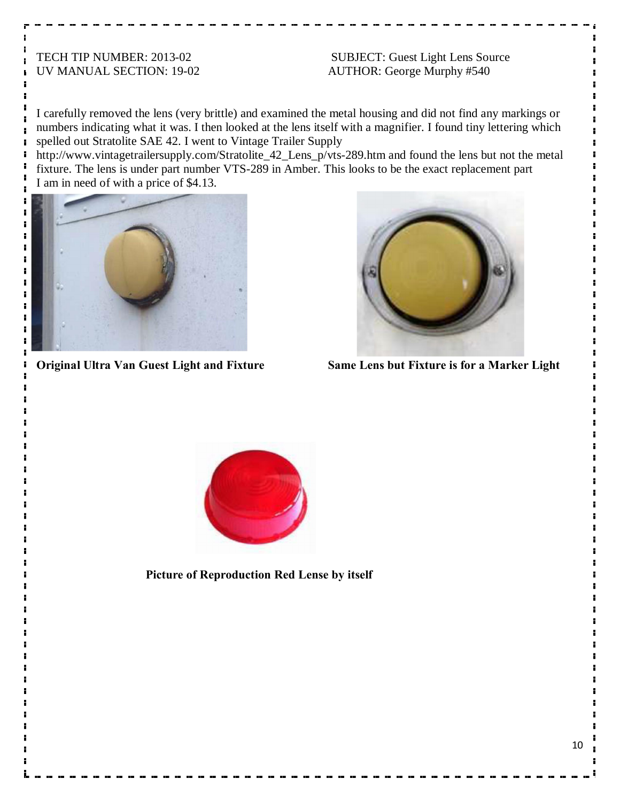TECH TIP NUMBER: 2013-02 SUBJECT: Guest Light Lens Source UV MANUAL SECTION: 19-02 AUTHOR: George Murphy #540

I carefully removed the lens (very brittle) and examined the metal housing and did not find any markings or numbers indicating what it was. I then looked at the lens itself with a magnifier. I found tiny lettering which spelled out Stratolite SAE 42. I went to Vintage Trailer Supply

http://www.vintagetrailersupply.com/Stratolite\_42\_Lens\_p/vts-289.htm and found the lens but not the metal fixture. The lens is under part number VTS-289 in Amber. This looks to be the exact replacement part I am in need of with a price of \$4.13.





H

**Original Ultra Van Guest Light and Fixture Same Lens but Fixture is for a Marker Light**



**Picture of Reproduction Red Lense by itself**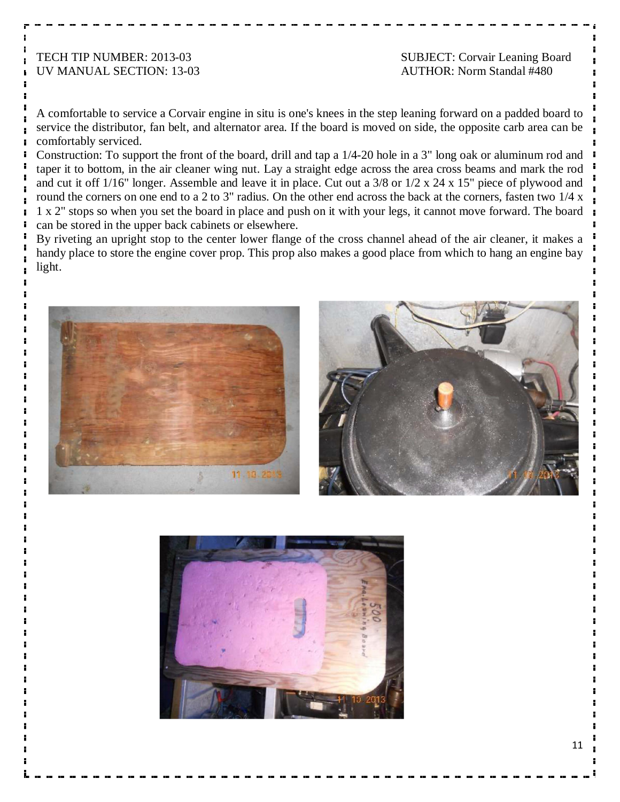# UV MANUAL SECTION: 13-03 AUTHOR: Norm Standal #480

TECH TIP NUMBER: 2013-03 SUBJECT: Corvair Leaning Board

A comfortable to service a Corvair engine in situ is one's knees in the step leaning forward on a padded board to service the distributor, fan belt, and alternator area. If the board is moved on side, the opposite carb area can be comfortably serviced.

Construction: To support the front of the board, drill and tap a 1/4-20 hole in a 3" long oak or aluminum rod and taper it to bottom, in the air cleaner wing nut. Lay a straight edge across the area cross beams and mark the rod and cut it off 1/16" longer. Assemble and leave it in place. Cut out a 3/8 or 1/2 x 24 x 15" piece of plywood and round the corners on one end to a 2 to 3" radius. On the other end across the back at the corners, fasten two 1/4 x 1 x 2" stops so when you set the board in place and push on it with your legs, it cannot move forward. The board can be stored in the upper back cabinets or elsewhere.

By riveting an upright stop to the center lower flange of the cross channel ahead of the air cleaner, it makes a handy place to store the engine cover prop. This prop also makes a good place from which to hang an engine bay light.